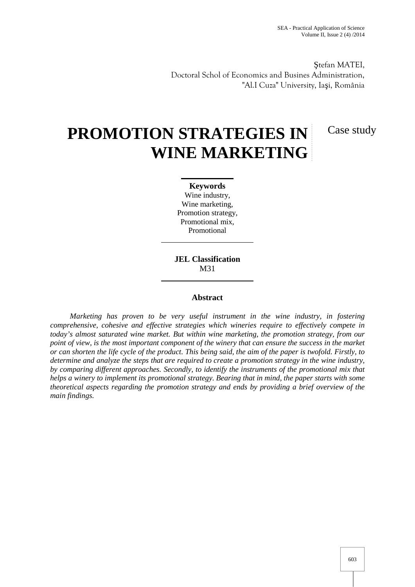Case study

tefan MATEI, Doctoral Schol of Economics and Busines Administration, "Al.I Cuza" University, Ia i, România

# **PROMOTION STRATEGIES IN WINE MARKETING**

**Keywords** Wine industry, Wine marketing, Promotion strategy, Promotional mix, Promotional

**JEL Classification** M31

#### **Abstract**

*Marketing has proven to be very useful instrument in the wine industry, in fostering comprehensive, cohesive and effective strategies which wineries require to effectively compete in today's almost saturated wine market. But within wine marketing, the promotion strategy, from our point of view, is the most important component of the winery that can ensure the success in the market or can shorten the life cycle of the product. This being said, the aim of the paper is twofold. Firstly, to determine and analyze the steps that are required to create a promotion strategy in the wine industry, by comparing different approaches. Secondly, to identify the instruments of the promotional mix that helps a winery to implement its promotional strategy. Bearing that in mind, the paper starts with some theoretical aspects regarding the promotion strategy and ends by providing a brief overview of the main findings.*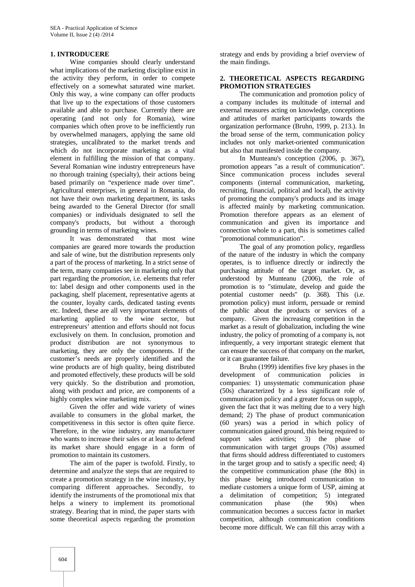#### **1. INTRODUCERE**

Wine companies should clearly understand what implications of the marketing discipline exist in the activity they perform, in order to compete effectively on a somewhat saturated wine market. Only this way, a wine company can offer products that live up to the expectations of those customers available and able to purchase. Currently there are operating (and not only for Romania), wine companies which often prove to be inefficiently run by overwhelmed managers, applying the same old strategies, uncalibrated to the market trends and which do not incorporate marketing as a vital element in fulfilling the mission of that company. Several Romanian wine industry entrepreneurs have no thorough training (specialty), their actions being based primarily on "experience made over time". Agricultural enterprises, in general in Romania, do not have their own marketing department, its tasks being awarded to the General Director (for small companies) or individuals designated to sell the company's products, but without a thorough grounding in terms of marketing wines.

It was demonstrated that most wine companies are geared more towards the production and sale of wine, but the distribution represents only a part of the process of marketing. In a strict sense of the term, many companies see in marketing only that part regarding the *promotion*, i.e. elements that refer to: label design and other components used in the packaging, shelf placement, representative agents at the counter, loyalty cards, dedicated tasting events etc. Indeed, these are all very important elements of marketing applied to the wine sector, but entrepreneurs' attention and efforts should not focus exclusively on them. In conclusion, promotion and product distribution are not synonymous to marketing, they are only the components. If the customer's needs are properly identified and the wine products are of high quality, being distributed and promoted effectively, these products will be sold very quickly. So the distribution and promotion, along with product and price, are components of a highly complex wine marketing mix.

Given the offer and wide variety of wines available to consumers in the global market, the competitiveness in this sector is often quite fierce. Therefore, in the wine industry, any manufacturer who wants to increase their sales or at least to defend its market share should engage in a form of promotion to maintain its customers.

The aim of the paper is twofold. Firstly, to determine and analyze the steps that are required to create a promotion strategy in the wine industry, by comparing different approaches. Secondly, to identify the instruments of the promotional mix that helps a winery to implement its promotional strategy. Bearing that in mind, the paper starts with some theoretical aspects regarding the promotion

strategy and ends by providing a brief overview of the main findings.

#### **2. THEORETICAL ASPECTS REGARDING PROMOTION STRATEGIES**

The communication and promotion policy of a company includes its multitude of internal and external measures acting on knowledge, conceptions and attitudes of market participants towards the organization performance (Bruhn, 1999, p. 213.). In the broad sense of the term, communication policy includes not only market-oriented communication but also that manifested inside the company.

In Munteanu's conception (2006, p. 367), promotion appears "as a result of communication". Since communication process includes several components (internal communication, marketing, recruiting, financial, political and local), the activity of promoting the company's products and its image is affected mainly by marketing communication. Promotion therefore appears as an element of communication and given its importance and connection whole to a part, this is sometimes called "promotional communication".

The goal of any promotion policy, regardless of the nature of the industry in which the company operates, is to influence directly or indirectly the purchasing attitude of the target market. Or, as understood by Munteanu (2006), the role of promotion is to "stimulate, develop and guide the potential customer needs" (p. 368). This (i.e. promotion policy) must inform, persuade or remind the public about the products or services of a company. Given the increasing competition in the market as a result of globalization, including the wine industry, the policy of promoting of a company is, not infrequently, a very important strategic element that can ensure the success of that company on the market, or it can guarantee failure.

Bruhn (1999) identifies five key phases in the development of communication policies in companies: 1) unsystematic communication phase (50s) characterized by a less significant role of communication policy and a greater focus on supply, given the fact that it was melting due to a very high demand; 2) The phase of product communication (60 years) was a period in which policy of communication gained ground, this being required to support sales activities; 3) the phase of communication with target groups (70s) assumed that firms should address differentiated to customers in the target group and to satisfy a specific need; 4) the competitive communication phase (the 80s) in this phase being introduced communication to mediate customers a unique form of USP, aiming at a delimitation of competition; 5) integrated communication phase (the 90s) when communication becomes a success factor in market competition, although communication conditions become more difficult. We can fill this array with a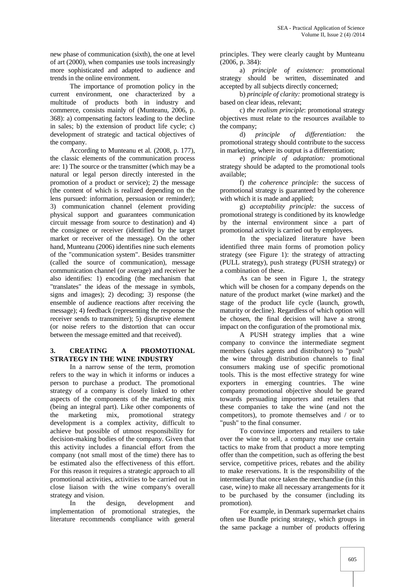new phase of communication (sixth), the one at level of art (2000), when companies use tools increasingly more sophisticated and adapted to audience and trends in the online environment.

The importance of promotion policy in the current environment, one characterized by a multitude of products both in industry and commerce, consists mainly of (Munteanu, 2006, p. 368): a) compensating factors leading to the decline in sales; b) the extension of product life cycle; c) development of strategic and tactical objectives of the company.

According to Munteanu et al. (2008, p. 177), the classic elements of the communication process are: 1) The source or the transmitter (which may be a natural or legal person directly interested in the promotion of a product or service); 2) the message (the content of which is realized depending on the lens pursued: information, persuasion or reminder); 3) communication channel (element providing physical support and guarantees communication circuit message from source to destination) and 4) the consignee or receiver (identified by the target market or receiver of the message). On the other hand, Munteanu (2006) identifies nine such elements of the "communication system". Besides transmitter (called the source of communication), message communication channel (or average) and receiver he also identifies: 1) encoding (the mechanism that "translates" the ideas of the message in symbols, signs and images); 2) decoding; 3) response (the ensemble of audience reactions after receiving the message); 4) feedback (representing the response the receiver sends to transmitter); 5) disruptive element (or noise refers to the distortion that can occur between the message emitted and that received).

#### **3. CREATING A PROMOTIONAL STRATEGY IN THE WINE INDUSTRY**

In a narrow sense of the term, promotion refers to the way in which it informs or induces a person to purchase a product. The promotional strategy of a company is closely linked to other aspects of the components of the marketing mix (being an integral part). Like other components of the marketing mix, promotional strategy development is a complex activity, difficult to achieve but possible of utmost responsibility for decision-making bodies of the company. Given that this activity includes a financial effort from the company (not small most of the time) there has to be estimated also the effectiveness of this effort. For this reason it requires a strategic approach to all promotional activities, activities to be carried out in close liaison with the wine company's overall strategy and vision.

In the design, development and implementation of promotional strategies, the literature recommends compliance with general principles. They were clearly caught by Munteanu (2006, p. 384):

a) *principle of existence:* promotional strategy should be written, disseminated and accepted by all subjects directly concerned;

b) *principle of clarity:* promotional strategy is based on clear ideas, relevant;

c) *the realism principle*: promotional strategy objectives must relate to the resources available to the company;

d) *principle of differentiation:* the promotional strategy should contribute to the success in marketing, where its output is a differentiation;

e) *principle of adaptation:* promotional strategy should be adapted to the promotional tools available;

f) *the coherence principle:* the success of promotional strategy is guaranteed by the coherence with which it is made and applied;

g) *acceptability principle:* the success of promotional strategy is conditioned by its knowledge by the internal environment since a part of promotional activity is carried out by employees.

In the specialized literature have been identified three main forms of promotion policy strategy (see Figure 1): the strategy of attracting (PULL strategy), push strategy (PUSH strategy) or a combination of these.

As can be seen in Figure 1, the strategy which will be chosen for a company depends on the nature of the product market (wine market) and the stage of the product life cycle (launch, growth, maturity or decline). Regardless of which option will be chosen, the final decision will have a strong impact on the configuration of the promotional mix.

A PUSH strategy implies that a wine company to convince the intermediate segment members (sales agents and distributors) to "push" the wine through distribution channels to final consumers making use of specific promotional tools. This is the most effective strategy for wine exporters in emerging countries. The wine company promotional objective should be geared towards persuading importers and retailers that these companies to take the wine (and not the competitors), to promote themselves and / or to "push" to the final consumer.

To convince importers and retailers to take over the wine to sell, a company may use certain tactics to make from that product a more tempting offer than the competition, such as offering the best service, competitive prices, rebates and the ability to make reservations. It is the responsibility of the intermediary that once taken the merchandise (in this case, wine) to make all necessary arrangements for it to be purchased by the consumer (including its promotion).

For example, in Denmark supermarket chains often use Bundle pricing strategy, which groups in the same package a number of products offering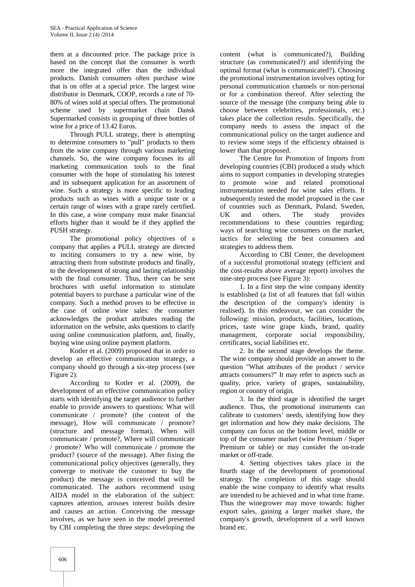them at a discounted price. The package price is based on the concept that the consumer is worth more the integrated offer than the individual products. Danish consumers often purchase wine that is on offer at a special price. The largest wine distributor in Denmark, COOP, records a rate of 70- 80% of wines sold at special offers. The promotional scheme used by supermarket chain Dansk Supermarked consists in grouping of three bottles of wine for a price of 13.42 Euros.

Through PULL strategy, there is attempting to determine consumers to "pull" products to them from the wine company through various marketing channels. So, the wine company focuses its all marketing communication tools to the final consumer with the hope of stimulating his interest and its subsequent application for an assortment of wine. Such a strategy is more specific to leading products such as wines with a unique taste or a certain range of wines with a grape rarely certified. In this case, a wine company must make financial efforts higher than it would be if they applied the PUSH strategy.

The promotional policy objectives of a company that applies a PULL strategy are directed to inciting consumers to try a new wine, by attracting them from substitute products and finally, to the development of strong and lasting relationship with the final consumer. Thus, there can be sent brochures with useful information to stimulate potential buyers to purchase a particular wine of the company. Such a method proves to be effective in the case of online wine sales: the consumer acknowledges the product attributes reading the information on the website, asks questions to clarify using online communication platform, and, finally, buying wine using online payment platform.

Kotler et al. (2009) proposed that in order to develop an effective communication strategy, a company should go through a six-step process (see Figure 2).

According to Kotler et al. (2009), the development of an effective communication policy starts with identifying the target audience to further enable to provide answers to questions: What will communicate / promote? (the content of the message), How will communicate / promote? (structure and message format), When will communicate / promote?, Where will communicate / promote? Who will communicate / promote the product? (source of the message). After fixing the communicational policy objectives (generally, they converge to motivate the customer to buy the product) the message is conceived that will be communicated. The authors recommend using AIDA model in the elaboration of the subject: captures attention, arouses interest builds desire and causes an action. Conceiving the message involves, as we have seen in the model presented by CBI completing the three steps: developing the

content (what is communicated?), Building structure (as communicated?) and identifying the optimal format (what is communicated?). Choosing the promotional instrumentation involves opting for personal communication channels or non-personal or for a combination thereof. After selecting the source of the message (the company being able to choose between celebrities, professionals, etc.) takes place the collection results. Specifically, the company needs to assess the impact of the communicational policy on the target audience and to review some steps if the efficiency obtained is lower than that proposed.

The Centre for Promotion of Imports from developing countries (CBI) produced a study which aims to support companies in developing strategies to promote wine and related promotional instrumentation needed for wine sales efforts. It subsequently tested the model proposed in the case of countries such as Denmark, Poland, Sweden, UK and others. The study provides recommendations to these countries regarding: ways of searching wine consumers on the market, tactics for selecting the best consumers and strategies to address them.

According to CBI Center, the development of a successful promotional strategy (efficient and the cost-results above average report) involves the nine-step process (see Figure 3):

1. In a first step the wine company identity is established (a list of all features that fall within the description of the company's identity is realised). In this endeavour, we can consider the following: mission, products, facilities, locations, prices, taste wine grape kinds, brand, quality management, corporate social responsibility, certificates, social liabilities etc.

2. In the second stage develops the theme. The wine company should provide an answer to the question "What attributes of the product / service attracts consumers?" It may refer to aspects such as quality, price, variety of grapes, sustainability, region or country of origin.

3. In the third stage is identified the target audience. Thus, the promotional instruments can calibrate to customers' needs, identifying how they get information and how they make decisions. The company can focus on the bottom level, middle or top of the consumer market (wine Premium / Super Premium or table) or may consider the on-trade market or off-trade.

4. Setting objectives takes place in the fourth stage of the development of promotional strategy. The completion of this stage should enable the wine company to identify what results are intended to be achieved and in what time frame. Thus the winegrower may move towards: higher export sales, gaining a larger market share, the company's growth, development of a well known brand etc.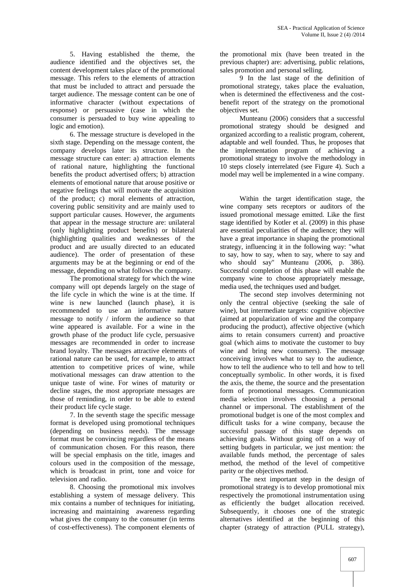5. Having established the theme, the audience identified and the objectives set, the content development takes place of the promotional message. This refers to the elements of attraction that must be included to attract and persuade the target audience. The message content can be one of informative character (without expectations of response) or persuasive (case in which the consumer is persuaded to buy wine appealing to logic and emotion).

6. The message structure is developed in the sixth stage. Depending on the message content, the company develops later its structure. In the message structure can enter: a) attraction elements of rational nature, highlighting the functional benefits the product advertised offers; b) attraction elements of emotional nature that arouse positive or negative feelings that will motivate the acquisition of the product; c) moral elements of attraction, covering public sensitivity and are mainly used to support particular causes. However, the arguments that appear in the message structure are: unilateral (only highlighting product benefits) or bilateral (highlighting qualities and weaknesses of the product and are usually directed to an educated audience). The order of presentation of these arguments may be at the beginning or end of the message, depending on what follows the company.

The promotional strategy for which the wine company will opt depends largely on the stage of the life cycle in which the wine is at the time. If wine is new launched (launch phase), it is recommended to use an informative nature message to notify / inform the audience so that wine appeared is available. For a wine in the growth phase of the product life cycle, persuasive messages are recommended in order to increase brand loyalty. The messages attractive elements of rational nature can be used, for example, to attract attention to competitive prices of wine, while motivational messages can draw attention to the unique taste of wine. For wines of maturity or decline stages, the most appropriate messages are those of reminding, in order to be able to extend their product life cycle stage.

7. In the seventh stage the specific message format is developed using promotional techniques (depending on business needs). The message format must be convincing regardless of the means of communication chosen. For this reason, there will be special emphasis on the title, images and colours used in the composition of the message, which is broadcast in print, tone and voice for television and radio.

8. Choosing the promotional mix involves establishing a system of message delivery. This mix contains a number of techniques for initiating, increasing and maintaining awareness regarding what gives the company to the consumer (in terms of cost-effectiveness). The component elements of the promotional mix (have been treated in the previous chapter) are: advertising, public relations, sales promotion and personal selling.

9 In the last stage of the definition of promotional strategy, takes place the evaluation, when is determined the effectiveness and the cost benefit report of the strategy on the promotional objectives set.

Munteanu (2006) considers that a successful promotional strategy should be designed and organized according to a realistic program, coherent, adaptable and well founded. Thus, he proposes that the implementation program of achieving a promotional strategy to involve the methodology in 10 steps closely interrelated (see Figure 4). Such a model may well be implemented in a wine company.

Within the target identification stage, the wine company sets receptors or auditors of the issued promotional message emitted. Like the first stage identified by Kotler et al. (2009) in this phase are essential peculiarities of the audience; they will have a great importance in shaping the promotional strategy, influencing it in the following way: "what to say, how to say, when to say, where to say and who should say" Munteanu (2006, p. 386). Successful completion of this phase will enable the company wine to choose appropriately message, media used, the techniques used and budget.

The second step involves determining not only the central objective (seeking the sale of wine), but intermediate targets: cognitive objective (aimed at popularization of wine and the company producing the product), affective objective (which aims to retain consumers current) and proactive goal (which aims to motivate the customer to buy wine and bring new consumers). The message conceiving involves what to say to the audience, how to tell the audience who to tell and how to tell conceptually symbolic. In other words, it is fixed the axis, the theme, the source and the presentation form of promotional messages. Communication media selection involves choosing a personal channel or impersonal. The establishment of the promotional budget is one of the most complex and difficult tasks for a wine company, because the successful passage of this stage depends on achieving goals. Without going off on a way of setting budgets in particular, we just mention: the available funds method, the percentage of sales method, the method of the level of competitive parity or the objectives method.

The next important step in the design of promotional strategy is to develop promotional mix respectively the promotional instrumentation using as efficiently the budget allocation received. Subsequently, it chooses one of the strategic alternatives identified at the beginning of this chapter (strategy of attraction (PULL strategy),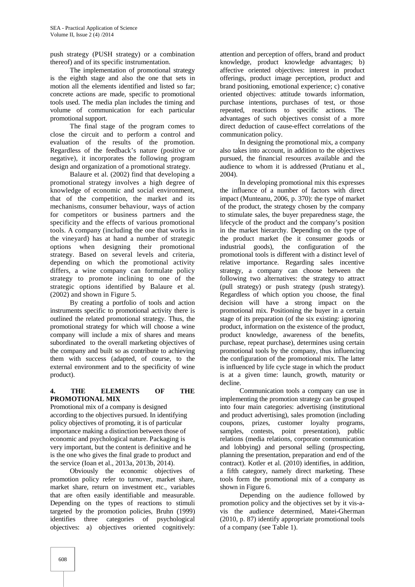push strategy (PUSH strategy) or a combination thereof) and of its specific instrumentation.

The implementation of promotional strategy is the eighth stage and also the one that sets in motion all the elements identified and listed so far; concrete actions are made, specific to promotional tools used. The media plan includes the timing and volume of communication for each particular promotional support.

The final stage of the program comes to close the circuit and to perform a control and evaluation of the results of the promotion. Regardless of the feedback's nature (positive or negative), it incorporates the following program design and organization of a promotional strategy.

Balaure et al. (2002) find that developing a promotional strategy involves a high degree of knowledge of economic and social environment, that of the competition, the market and its mechanisms, consumer behaviour, ways of action for competitors or business partners and the specificity and the effects of various promotional tools. A company (including the one that works in the vineyard) has at hand a number of strategic options when designing their promotional strategy. Based on several levels and criteria, depending on which the promotional activity differs, a wine company can formulate policy strategy to promote inclining to one of the strategic options identified by Balaure et al. (2002) and shown in Figure 5*.*

By creating a portfolio of tools and action instruments specific to promotional activity there is outlined the related promotional strategy. Thus, the promotional strategy for which will choose a wine company will include a mix of shares and means subordinated to the overall marketing objectives of the company and built so as contribute to achieving them with success (adapted, of course, to the external environment and to the specificity of wine product).

#### **4. THE ELEMENTS OF THE PROMOTIONAL MIX**

Promotional mix of a company is designed according to the objectives pursued. In identifying policy objectives of promoting, it is of particular importance making a distinction between those of economic and psychological nature. Packaging is very important, but the content is definitive and he is the one who gives the final grade to product and the service (Ioan et al., 2013a, 2013b, 2014).

Obviously the economic objectives of promotion policy refer to turnover, market share, market share, return on investment etc., variables that are often easily identifiable and measurable. Depending on the types of reactions to stimuli targeted by the promotion policies, Bruhn (1999) identifies three categories of psychological objectives: a) objectives oriented cognitively:

attention and perception of offers, brand and product knowledge, product knowledge advantages; b) affective oriented objectives: interest in product offerings, product image perception, product and brand positioning, emotional experience; c) conative oriented objectives: attitude towards information, purchase intentions, purchases of test, or those repeated, reactions to specific actions. The advantages of such objectives consist of a more direct deduction of cause-effect correlations of the communication policy.

In designing the promotional mix, a company also takes into account, in addition to the objectives pursued, the financial resources available and the audience to whom it is addressed (Prutianu et al., 2004).

In developing promotional mix this expresses the influence of a number of factors with direct impact (Munteanu, 2006, p. 370): the type of market of the product, the strategy chosen by the company to stimulate sales, the buyer preparedness stage, the lifecycle of the product and the company's position in the market hierarchy. Depending on the type of the product market (be it consumer goods or industrial goods), the configuration of the promotional tools is different with a distinct level of relative importance. Regarding sales incentive strategy, a company can choose between the following two alternatives: the strategy to attract (pull strategy) or push strategy (push strategy). Regardless of which option you choose, the final decision will have a strong impact on the promotional mix. Positioning the buyer in a certain stage of its preparation (of the six existing: ignoring product, information on the existence of the product, product knowledge, awareness of the benefits, purchase, repeat purchase), determines using certain promotional tools by the company, thus influencing the configuration of the promotional mix. The latter is influenced by life cycle stage in which the product is at a given time: launch, growth, maturity or

decline.<br>Communication tools a company can use in implementing the promotion strategy can be grouped into four main categories: advertising (institutional and product advertising), sales promotion (including coupons, prizes, customer loyalty programs, samples, contests, point presentation), public relations (media relations, corporate communication and lobbying) and personal selling (prospecting, planning the presentation, preparation and end of the contract). Kotler et al. (2010) identifies, in addition, a fifth category, namely direct marketing. These tools form the promotional mix of a company as shown in Figure 6.

Depending on the audience followed by promotion policy and the objectives set by it vis-a vis the audience determined, Matei-Gherman (2010, p. 87) identify appropriate promotional tools of a company (see Table 1).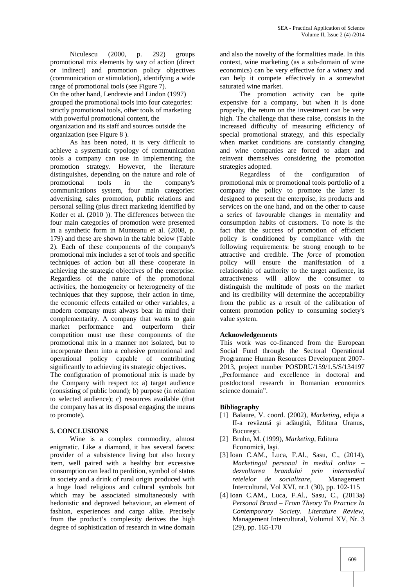Niculescu (2000, p. 292) groups promotional mix elements by way of action (direct or indirect) and promotion policy objectives (communication or stimulation), identifying a wide range of promotional tools (see Figure 7). On the other hand, Lendrevie and Lindon (1997) grouped the promotional tools into four categories: strictly promotional tools, other tools of marketing with powerful promotional content, the organization and its staff and sources outside the organization (see Figure 8 ).

As has been noted, it is very difficult to achieve a systematic typology of communication tools a company can use in implementing the promotion strategy. However, the literature distinguishes, depending on the nature and role of promotional tools in the company's communications system, four main categories: advertising, sales promotion, public relations and personal selling (plus direct marketing identified by Kotler et al. (2010 )). The differences between the four main categories of promotion were presented in a synthetic form in Munteanu et al. (2008, p. 179) and these are shown in the table below (Table 2). Each of these components of the company's promotional mix includes a set of tools and specific techniques of action but all these cooperate in achieving the strategic objectives of the enterprise. Regardless of the nature of the promotional activities, the homogeneity or heterogeneity of the techniques that they suppose, their action in time, the economic effects entailed or other variables, a modern company must always bear in mind their complementarity. A company that wants to gain market performance and outperform their competition must use these components of the promotional mix in a manner not isolated, but to incorporate them into a cohesive promotional and operational policy capable of contributing significantly to achieving its strategic objectives.

The configuration of promotional mix is made by the Company with respect to: a) target audience (consisting of public bound); b) purpose (in relation to selected audience); c) resources available (that the company has at its disposal engaging the means to promote).

#### **5. CONCLUSIONS**

Wine is a complex commodity, almost enigmatic. Like a diamond, it has several facets: provider of a subsistence living but also luxury item, well paired with a healthy but excessive consumption can lead to perdition, symbol of status in society and a drink of rural origin produced with a huge load religious and cultural symbols but which may be associated simultaneously with hedonistic and depraved behaviour, an element of fashion, experiences and cargo alike. Precisely from the product's complexity derives the high degree of sophistication of research in wine domain

and also the novelty of the formalities made. In this context, wine marketing (as a sub-domain of wine economics) can be very effective for a winery and can help it compete effectively in a somewhat saturated wine market.

The promotion activity can be quite expensive for a company, but when it is done properly, the return on the investment can be very high. The challenge that these raise, consists in the increased difficulty of measuring efficiency of special promotional strategy, and this especially when market conditions are constantly changing and wine companies are forced to adapt and reinvent themselves considering the promotion strategies adopted.

Regardless of the configuration of promotional mix or promotional tools portfolio of a company the policy to promote the latter is designed to present the enterprise, its products and services on the one hand, and on the other to cause a series of favourable changes in mentality and consumption habits of customers. To note is the fact that the success of promotion of efficient policy is conditioned by compliance with the following requirements: be strong enough to be attractive and credible. The *force* of promotion policy will ensure the manifestation of a relationship of authority to the target audience, its attractiveness will allow the consumer to distinguish the multitude of posts on the market and its credibility will determine the acceptability from the public as a result of the calibration of content promotion policy to consuming society's value system.

#### **Acknowledgements**

This work was co-financed from the European Social Fund through the Sectoral Operational Programme Human Resources Development 2007- 2013, project number POSDRU/159/1.5/S/134197 "Performance and excellence in doctoral and postdoctoral research in Romanian economics science domain".

#### **Bibliography**

- [1] Balaure, V. coord. (2002), *Marketing*, edi ia a II-a rev zut i ad ugit, Editura Uranus, Bucure ti.
- [2] Bruhn, M. (1999), *Marketing,* Editura Economic, Ia i.
- [3] Ioan C.AM., Luca, F.Al., Sasu, C., (2014), *Marketingul personal în mediul online – dezvoltarea brandului prin intermediul retelelor de socializare*, Management Intercultural, Vol XVI, nr.1 (30), pp. 102-115
- [4] Ioan C.AM., Luca, F.Al., Sasu, C., (2013a) *Personal Brand – From Theory To Practice In Contemporary Society. Literature Review*, Management Intercultural, Volumul XV, Nr. 3 (29), pp. 165-170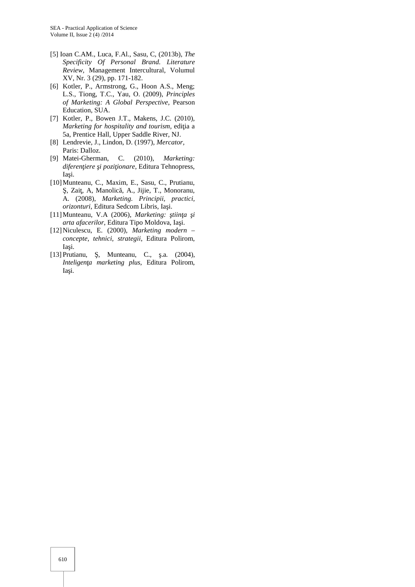- [5] Ioan C.AM., Luca, F.Al., Sasu, C, (2013b), *The Specificity Of Personal Brand. Literature Review*, Management Intercultural, Volumul XV, Nr. 3 (29), pp. 171-182.
- [6] Kotler, P., Armstrong, G., Hoon A.S., Meng; L.S., Tiong, T.C., Yau, O. (2009), *Principles of Marketing: A Global Perspective*, Pearson Education, SUA.
- [7] Kotler, P., Bowen J.T., Makens, J.C. (2010), *Marketing for hospitality and tourism, edi ia a* 5a, Prentice Hall, Upper Saddle River, NJ.
- [8] Lendrevie, J., Lindon, D. (1997), *Mercator,* Paris: Dalloz.
- [9] Matei-Gherman, C. (2010), *Marketing:* diferen iere i pozi ionare, Editura Tehnopress, Ia i.
- [10]Munteanu, C., Maxim, E., Sasu, C., Prutianu, , Zai, A, Manolic, A., Jijie, T., Monoranu, A. (2008), *Marketing. Principii, practici,*  $orizon turi$ , Editura Sedcom Libris, Ia i.
- [11] Munteanu, V.A (2006), *Marketing: tiin a i arta afacerilor*, Editura Tipo Moldova, Ia i.
- [12]Niculescu, E. (2000), *Marketing modern – concepte, tehnici, strategii*, Editura Polirom, Ia i.
- [13] Prutianu, , Munteanu, C., .a. (2004), *Inteligen a marketing plus*, Editura Polirom, Ia i.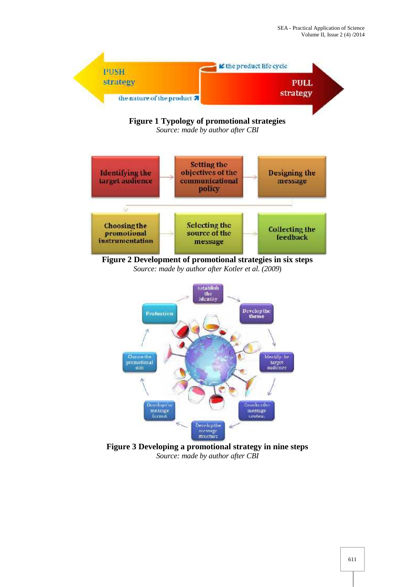



**Figure 3 Developing a promotional strategy in nine steps** *Source: made by author after CBI*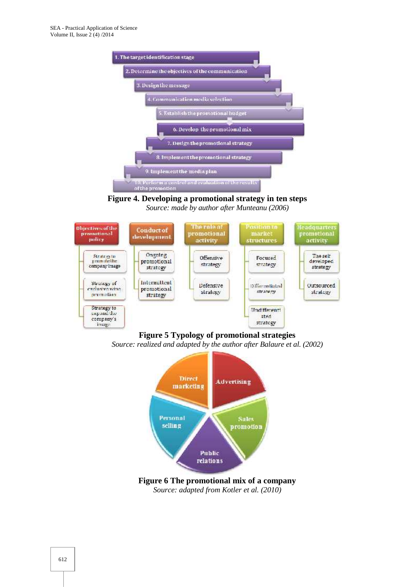

**Figure 4. Developing a promotional strategy in ten steps** *Source: made by author after Munteanu (2006)*



**Figure 5 Typology of promotional strategies**

*Source: realized and adapted by the author after Balaure et al. (2002)*



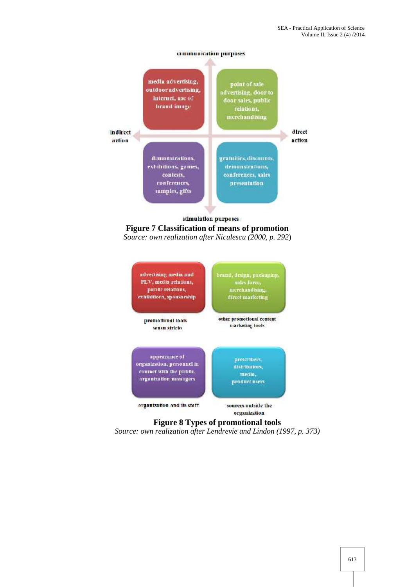





### **Figure 8 Types of promotional tools**

*Source: own realization after Lendrevie and Lindon (1997, p. 373)*